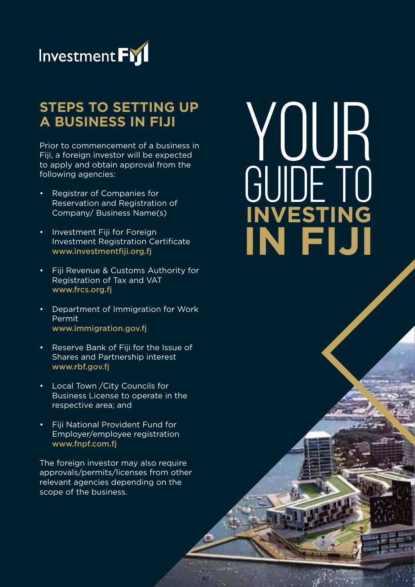

## **STEPS TO SETTING UP A BUSINESS IN FIJI**

Prior to commencement of a business in Fiji, a foreign investor will be expected to apply and obtain approval from the following agencies:

- Registrar of Companies for Reservation and Registration of Company/ Business Name(s)
- Investment Fiii for Foreign Investment Registration Certificate www.investmentfiji.org.fj
- Fiji Revenue & Customs Authority for Registration of Tax and VAT www.frcs.org.fj
- Department of Immigration for Work Permit www.immigration.gov.fj
- Reserve Bank of Fiji for the Issue of Shares and Partnership interest www.rbf.gov.fj
- Local Town /City Councils for Business License to operate in the respective area; and
- Fiji National Provident Fund for Employer/employee registration www.fnpf.com.fj

The foreign investor may also require approvals/permits/licenses from other relevant agencies depending on the scope of the business.

# YOUR GUIDE TO **INVESTING IN FIJI**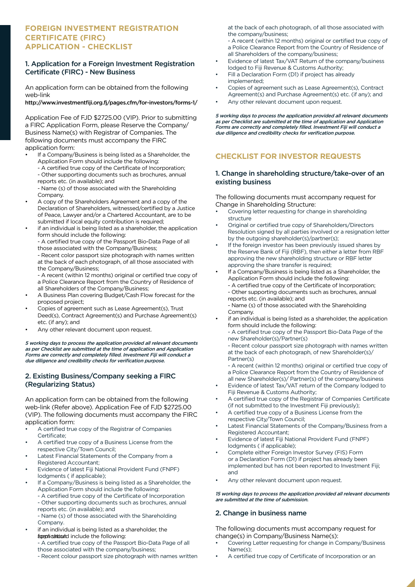#### **FOREIGN INVESTMENT REGISTRATION CERTIFICATE (FIRC) APPLICATION - CHECKLIST**

#### 1. Application for a Foreign Investment Registration Certificate (FIRC) - New Business

An application form can be obtained from the following web-link

#### http://www.investmentfiji.org.fj/pages.cfm/for-investors/forms-1/

Application Fee of FJD \$2725.00 (VIP). Prior to submitting a FIRC Application Form, please Reserve the Company/ Business Name(s) with Registrar of Companies. The following documents must accompany the FIRC application form:

- If a Company/Business is being listed as a Shareholder, the Application Form should include the following:
	- A certified true copy of the Certificate of Incorporation; - Other supporting documents such as brochures, annual
	- reports etc. (in available); and
	- Name (s) of those associated with the Shareholding
- Company.
- A copy of the Shareholders Agreement and a copy of the Declaration of Shareholders, witnessed/certified by a Justice of Peace, Lawyer and/or a Chartered Accountant, are to be submitted if local equity contribution is required;
- if an individual is being listed as a shareholder, the application form should include the following:
	- A certified true copy of the Passport Bio-Data Page of all those associated with the Company/Business;
	- Recent color passport size photograph with names written at the back of each photograph, of all those associated with the Company/Business;
	- A recent (within 12 months) original or certified true copy of a Police Clearance Report from the Country of Residence of all Shareholders of the Company/Business;
- A Business Plan covering Budget/Cash Flow forecast for the proposed project;
- Copies of agreement such as Lease Agreement(s), Trust Deed(s), Contract Agreement(s) and Purchase Agreement(s) etc. (if any); and
- Any other relevant document upon request.

5 working days to process the application provided all relevant documents as per Checklist are submitted at the time of application and Application Forms are correctly and completely filled. Investment Fiji will conduct a due diligence and credibility checks for verification purpose.

#### 2. Existing Business/Company seeking a FIRC (Regularizing Status)

An application form can be obtained from the following web-link (Refer above). Application Fee of FJD \$2725.00 (VIP). The following documents must accompany the FIRC application form:

- A certified true copy of the Registrar of Companies Certificate;
- A certified true copy of a Business License from the respective City/Town Council;
- Latest Financial Statements of the Company from a Registered Accountant;
- Evidence of latest Fiji National Provident Fund (FNPF) lodgments ( if applicable);
- If a Company/Business is being listed as a Shareholder, the Application Form should include the following:
	- A certified true copy of the Certificate of Incorporation - Other supporting documents such as brochures, annual reports etc. (in available); and
	- Name (s) of those associated with the Shareholding Company.
- if an individual is being listed as a shareholder, the funphishticuld include the following:

- A certified true copy of the Passport Bio-Data Page of all those associated with the company/business;

- Recent colour passport size photograph with names written

at the back of each photograph, of all those associated with the company/business;

- A recent (within 12 months) original or certified true copy of a Police Clearance Report from the Country of Residence of all Shareholders of the company/business;

- Evidence of latest Tax/VAT Return of the company/business lodged to Fiji Revenue & Customs Authority;
- Fill a Declaration Form (D1) if project has already implemented;
- Copies of agreement such as Lease Agreement(s), Contract Agreement(s) and Purchase Agreement(s) etc. (if any); and
- Any other relevant document upon request.

5 working days to process the application provided all relevant documents as per Checklist are submitted at the time of application and Application Forms are correctly and completely filled. Investment Fiji will conduct a due diligence and credibility checks for verification purpose.

#### **CHECKLIST FOR INVESTOR REQUESTS**

#### 1. Change in shareholding structure/take-over of an existing business

The following documents must accompany request for Change in Shareholding Structure:

- Covering letter requesting for change in shareholding structure
- Original or certified true copy of Shareholders/Directors Resolution signed by all parties involved or a resignation letter by the outgoing shareholder(s)/partner(s);
- If the foreign investor has been previously issued shares by the Reserve Bank of Fiji (RBF), then either a letter from RBF approving the new shareholding structure or RBF letter approving the share transfer is required;
- If a Company/Business is being listed as a Shareholder, the Application Form should include the following:
	- A certified true copy of the Certificate of Incorporation; - Other supporting documents such as brochures, annual reports etc. (in available); and

- Name (s) of those associated with the Shareholding Company.

if an individual is being listed as a shareholder, the application form should include the following: - A certified true copy of the Passport Bio-Data Page of the

new Shareholder(s)/Partner(s)

- Recent colour passport size photograph with names written at the back of each photograph, of new Shareholder(s)/ Partner(s)

- A recent (within 12 months) original or certified true copy of a Police Clearance Report from the Country of Residence of all new Shareholder(s)/ Partner(s) of the company/business

- Evidence of latest Tax/VAT return of the Company lodged to Fiji Revenue & Customs Authority;
- A certified true copy of the Registrar of Companies Certificate (if not submitted to the Investment Fiji previously);
- A certified true copy of a Business License from the respective City/Town Council;
- Latest Financial Statements of the Company/Business from a Registered Accountant;
- Evidence of latest Fiji National Provident Fund (FNPF) lodgments ( if applicable);
- Complete either Foreign Investor Survey (FIS) Form or a Declaration Form (D1) if project has already been implemented but has not been reported to Investment Fiji; and
- Any other relevant document upon request.

#### 15 working days to process the application provided all relevant documents are submitted at the time of submission.

#### 2. Change in business name

The following documents must accompany request for change(s) in Company/Business Name(s):

- Covering Letter requesting for change in Company/Business Name(s);
- A certified true copy of Certificate of Incorporation or an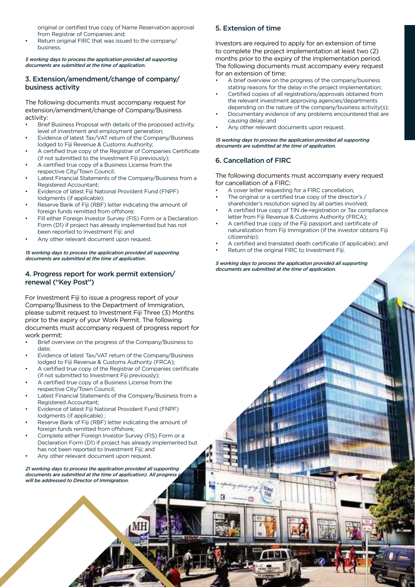original or certified true copy of Name Reservation approval from Registrar of Companies and;

Return original FIRC that was issued to the company/ business.

5 working days to process the application provided all supporting documents are submitted at the time of application.

#### 3. Extension/amendment/change of company/ business activity

The following documents must accompany request for extension/amendment/change of Company/Business activity:

- Brief Business Proposal with details of the proposed activity, level of investment and employment generation;
- Evidence of latest Tax/VAT return of the Company/Business lodged to Fiji Revenue & Customs Authority;
- A certified true copy of the Registrar of Companies Certificate (if not submitted to the Investment Fiji previously);
- A certified true copy of a Business License from the respective City/Town Council;
- Latest Financial Statements of the Company/Business from a Registered Accountant;
- Evidence of latest Fiji National Provident Fund (FNPF) lodgments (if applicable);
- Reserve Bank of Fiji (RBF) letter indicating the amount of foreign funds remitted from offshore:
- Fill either Foreign Investor Survey (FIS) Form or a Declaration Form (D1) if project has already implemented but has not been reported to Investment Fiji; and
- Any other relevant document upon request.

15 working days to process the application provided all supporting documents are submitted at the time of application.

#### 4. Progress report for work permit extension/ renewal ("Key Post")

For Investment Fiji to issue a progress report of your Company/Business to the Department of Immigration, please submit request to Investment Fiji Three (3) Months prior to the expiry of your Work Permit. The following documents must accompany request of progress report for work permit:

- Brief overview on the progress of the Company/Business to date;
- Evidence of latest Tax/VAT return of the Company/Business lodged to Fiji Revenue & Customs Authority (FRCA);
- A certified true copy of the Registrar of Companies certificate (if not submitted to Investment Fiji previously);
- A certified true copy of a Business License from the respective City/Town Council;
- Latest Financial Statements of the Company/Business from a Registered Accountant;
- Evidence of latest Fiji National Provident Fund (FNPF) lodgments (if applicable) ;
- Reserve Bank of Fiji (RBF) letter indicating the amount of foreign funds remitted from offshore;
- Complete either Foreign Investor Survey (FIS) Form or a Declaration Form (D1) if project has already implemented but has not been reported to Investment Fiji; and
- Any other relevant document upon request.

21 working days to process the application provided all supporting documents are submitted at the time of application). All progress will be addressed to Director of Immigration.

#### 5. Extension of time

Investors are required to apply for an extension of time to complete the project implementation at least two (2) months prior to the expiry of the implementation period. The following documents must accompany every request for an extension of time:

- A brief overview on the progress of the company/business stating reasons for the delay in the project implementation;
- Certified copies of all registrations/approvals obtained from the relevant investment approving agencies/departments depending on the nature of the company/business activity(s);
- Documentary evidence of any problems encountered that are causing delay; and
- Any other relevant documents upon request.

15 working days to process the application provided all supporting documents are submitted at the time of application.

#### 6. Cancellation of FIRC

The following documents must accompany every request for cancellation of a FIRC:

- A cover letter requesting for a FIRC cancellation;
- The original or a certified true copy of the director's / shareholder's resolution signed by all parties involved;
- A certified true copy of TIN de-registration or Tax compliance letter from Fiji Revenue & Customs Authority (FRCA);
- A certified true copy of the Fiji passport and certificate of naturalization from Fiji Immigration (if the investor obtains Fiji citizenship);
- A certified and translated death certificate (if applicable); and
- Return of the original FIRC to Investment Fiji.

#### 5 working days to process the application provided all supporting documents are submitted at the time of application.